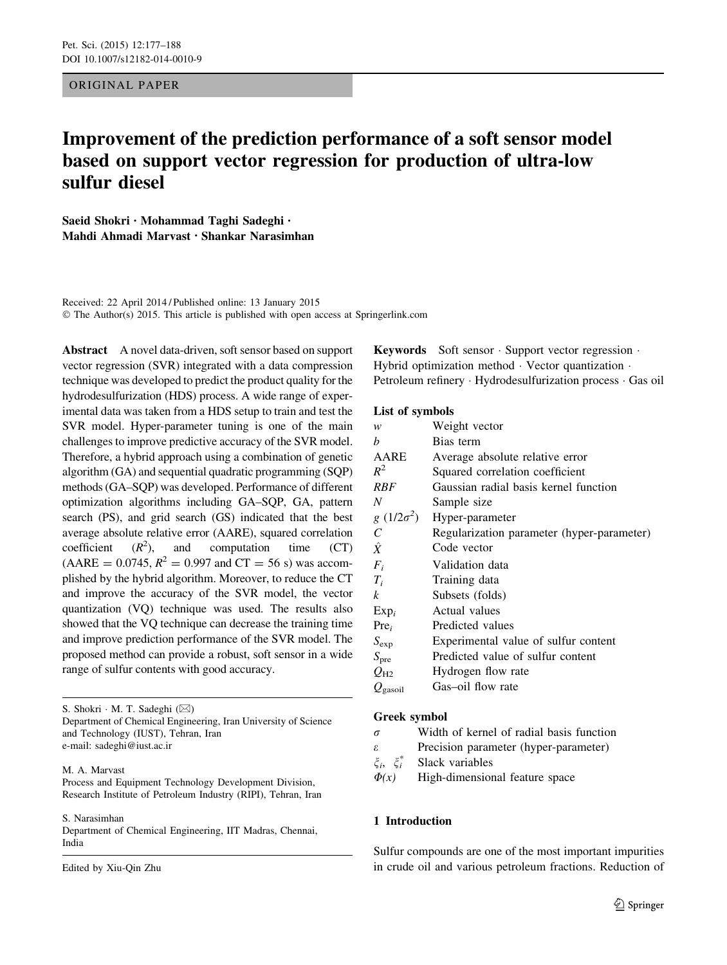ORIGINAL PAPER

# Improvement of the prediction performance of a soft sensor model based on support vector regression for production of ultra-low sulfur diesel

Saeid Shokri • Mohammad Taghi Sadeghi • Mahdi Ahmadi Marvast • Shankar Narasimhan

Received: 22 April 2014 / Published online: 13 January 2015 © The Author(s) 2015. This article is published with open access at Springerlink.com

Abstract A novel data-driven, soft sensor based on support vector regression (SVR) integrated with a data compression technique was developed to predict the product quality for the hydrodesulfurization (HDS) process. A wide range of experimental data was taken from a HDS setup to train and test the SVR model. Hyper-parameter tuning is one of the main challenges to improve predictive accuracy of the SVR model. Therefore, a hybrid approach using a combination of genetic algorithm (GA) and sequential quadratic programming (SQP) methods (GA–SQP) was developed. Performance of different optimization algorithms including GA–SQP, GA, pattern search (PS), and grid search (GS) indicated that the best average absolute relative error (AARE), squared correlation coefficient  $(R^2)$ , ), and computation time (CT)  $(AARE = 0.0745, R^2 = 0.997 \text{ and } CT = 56 \text{ s})$  was accomplished by the hybrid algorithm. Moreover, to reduce the CT and improve the accuracy of the SVR model, the vector quantization (VQ) technique was used. The results also showed that the VQ technique can decrease the training time and improve prediction performance of the SVR model. The proposed method can provide a robust, soft sensor in a wide range of sulfur contents with good accuracy.

S. Shokri · M. T. Sadeghi (⊠)

Department of Chemical Engineering, Iran University of Science and Technology (IUST), Tehran, Iran e-mail: sadeghi@iust.ac.ir

## M. A. Marvast

Process and Equipment Technology Development Division, Research Institute of Petroleum Industry (RIPI), Tehran, Iran

#### S. Narasimhan

Department of Chemical Engineering, IIT Madras, Chennai, India

Edited by Xiu-Qin Zhu

Keywords Soft sensor - Support vector regression - Hybrid optimization method - Vector quantization - Petroleum refinery · Hydrodesulfurization process · Gas oil

# List of symbols

| w                             | Weight vector                              |
|-------------------------------|--------------------------------------------|
| b                             | Bias term                                  |
| AARE                          | Average absolute relative error            |
| $R^2$                         | Squared correlation coefficient            |
| <b>RBF</b>                    | Gaussian radial basis kernel function      |
| N                             | Sample size                                |
| $g(1/2\sigma^2)$              | Hyper-parameter                            |
| C                             | Regularization parameter (hyper-parameter) |
| $\hat{X}$                     | Code vector                                |
| $F_i$                         | Validation data                            |
| $T_i$                         | Training data                              |
| k                             | Subsets (folds)                            |
| $Exp_i$                       | Actual values                              |
| $Pre_i$                       | Predicted values                           |
| $S_{\rm exp}$                 | Experimental value of sulfur content       |
| $S_{\rm pre}$                 | Predicted value of sulfur content          |
| $O_{\mathrm{H2}}$             | Hydrogen flow rate                         |
| $\mathcal{Q}_{\text{gasoil}}$ | Gas-oil flow rate                          |

# Greek symbol

- $\sigma$  Width of kernel of radial basis function
- $\epsilon$  Precision parameter (hyper-parameter)
- $\xi_i$ ,  $\xi_i^*$ Slack variables

 $\Phi(x)$  High-dimensional feature space

# 1 Introduction

Sulfur compounds are one of the most important impurities in crude oil and various petroleum fractions. Reduction of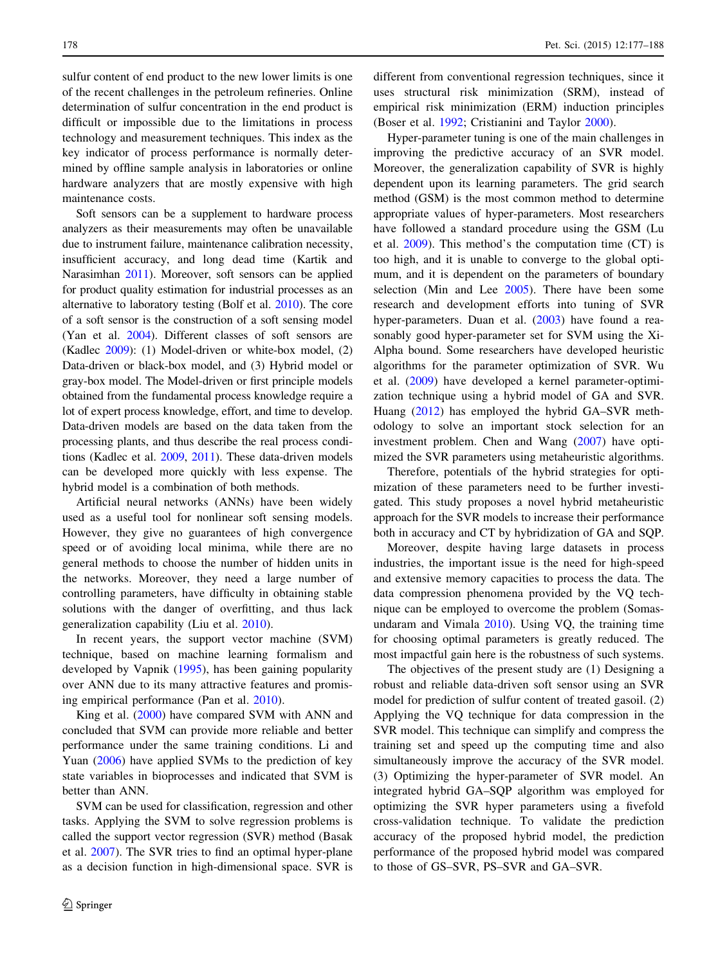sulfur content of end product to the new lower limits is one of the recent challenges in the petroleum refineries. Online determination of sulfur concentration in the end product is difficult or impossible due to the limitations in process technology and measurement techniques. This index as the key indicator of process performance is normally determined by offline sample analysis in laboratories or online hardware analyzers that are mostly expensive with high maintenance costs.

Soft sensors can be a supplement to hardware process analyzers as their measurements may often be unavailable due to instrument failure, maintenance calibration necessity, insufficient accuracy, and long dead time (Kartik and Narasimhan [2011](#page-10-0)). Moreover, soft sensors can be applied for product quality estimation for industrial processes as an alternative to laboratory testing (Bolf et al. [2010\)](#page-10-0). The core of a soft sensor is the construction of a soft sensing model (Yan et al. [2004\)](#page-11-0). Different classes of soft sensors are (Kadlec [2009\)](#page-10-0): (1) Model-driven or white-box model, (2) Data-driven or black-box model, and (3) Hybrid model or gray-box model. The Model-driven or first principle models obtained from the fundamental process knowledge require a lot of expert process knowledge, effort, and time to develop. Data-driven models are based on the data taken from the processing plants, and thus describe the real process conditions (Kadlec et al. [2009](#page-10-0), [2011\)](#page-10-0). These data-driven models can be developed more quickly with less expense. The hybrid model is a combination of both methods.

Artificial neural networks (ANNs) have been widely used as a useful tool for nonlinear soft sensing models. However, they give no guarantees of high convergence speed or of avoiding local minima, while there are no general methods to choose the number of hidden units in the networks. Moreover, they need a large number of controlling parameters, have difficulty in obtaining stable solutions with the danger of overfitting, and thus lack generalization capability (Liu et al. [2010](#page-10-0)).

In recent years, the support vector machine (SVM) technique, based on machine learning formalism and developed by Vapnik ([1995\)](#page-10-0), has been gaining popularity over ANN due to its many attractive features and promising empirical performance (Pan et al. [2010\)](#page-10-0).

King et al. ([2000](#page-10-0)) have compared SVM with ANN and concluded that SVM can provide more reliable and better performance under the same training conditions. Li and Yuan ([2006\)](#page-10-0) have applied SVMs to the prediction of key state variables in bioprocesses and indicated that SVM is better than ANN.

SVM can be used for classification, regression and other tasks. Applying the SVM to solve regression problems is called the support vector regression (SVR) method (Basak et al. [2007](#page-10-0)). The SVR tries to find an optimal hyper-plane as a decision function in high-dimensional space. SVR is different from conventional regression techniques, since it uses structural risk minimization (SRM), instead of empirical risk minimization (ERM) induction principles (Boser et al. [1992;](#page-10-0) Cristianini and Taylor [2000](#page-10-0)).

Hyper-parameter tuning is one of the main challenges in improving the predictive accuracy of an SVR model. Moreover, the generalization capability of SVR is highly dependent upon its learning parameters. The grid search method (GSM) is the most common method to determine appropriate values of hyper-parameters. Most researchers have followed a standard procedure using the GSM (Lu et al. [2009\)](#page-10-0). This method's the computation time (CT) is too high, and it is unable to converge to the global optimum, and it is dependent on the parameters of boundary selection (Min and Lee [2005\)](#page-10-0). There have been some research and development efforts into tuning of SVR hyper-parameters. Duan et al. ([2003\)](#page-10-0) have found a reasonably good hyper-parameter set for SVM using the Xi-Alpha bound. Some researchers have developed heuristic algorithms for the parameter optimization of SVR. Wu et al. ([2009\)](#page-11-0) have developed a kernel parameter-optimization technique using a hybrid model of GA and SVR. Huang ([2012\)](#page-10-0) has employed the hybrid GA–SVR methodology to solve an important stock selection for an investment problem. Chen and Wang [\(2007](#page-10-0)) have optimized the SVR parameters using metaheuristic algorithms.

Therefore, potentials of the hybrid strategies for optimization of these parameters need to be further investigated. This study proposes a novel hybrid metaheuristic approach for the SVR models to increase their performance both in accuracy and CT by hybridization of GA and SQP.

Moreover, despite having large datasets in process industries, the important issue is the need for high-speed and extensive memory capacities to process the data. The data compression phenomena provided by the VQ technique can be employed to overcome the problem (Somasundaram and Vimala [2010\)](#page-10-0). Using VQ, the training time for choosing optimal parameters is greatly reduced. The most impactful gain here is the robustness of such systems.

The objectives of the present study are (1) Designing a robust and reliable data-driven soft sensor using an SVR model for prediction of sulfur content of treated gasoil. (2) Applying the VQ technique for data compression in the SVR model. This technique can simplify and compress the training set and speed up the computing time and also simultaneously improve the accuracy of the SVR model. (3) Optimizing the hyper-parameter of SVR model. An integrated hybrid GA–SQP algorithm was employed for optimizing the SVR hyper parameters using a fivefold cross-validation technique. To validate the prediction accuracy of the proposed hybrid model, the prediction performance of the proposed hybrid model was compared to those of GS–SVR, PS–SVR and GA–SVR.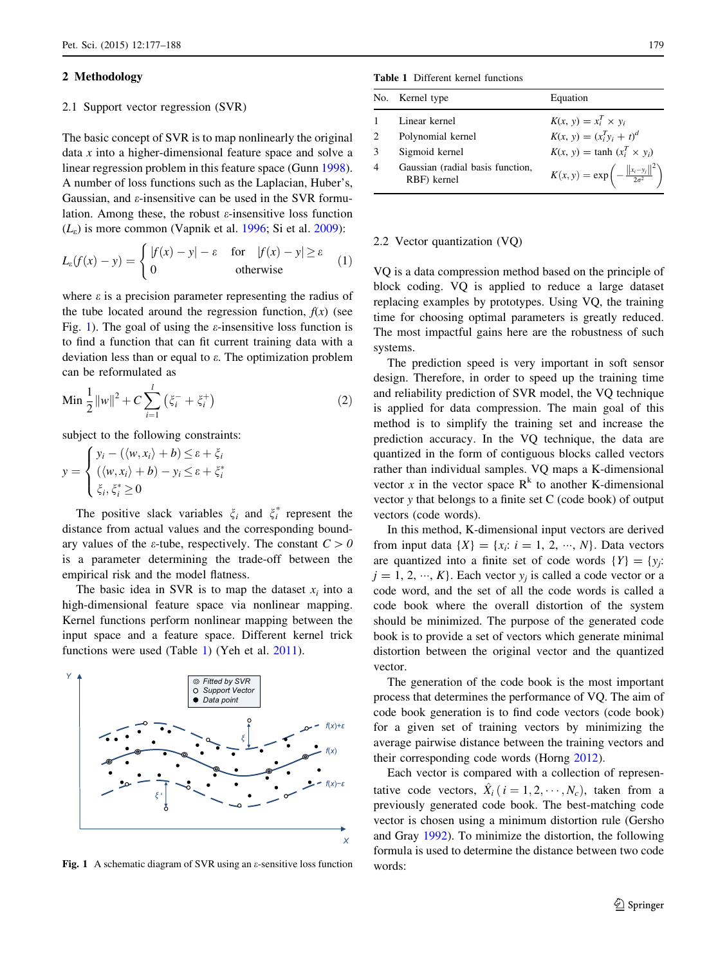## 2 Methodology

#### 2.1 Support vector regression (SVR)

The basic concept of SVR is to map nonlinearly the original data x into a higher-dimensional feature space and solve a linear regression problem in this feature space (Gunn [1998](#page-10-0)). A number of loss functions such as the Laplacian, Huber's, Gaussian, and  $\varepsilon$ -insensitive can be used in the SVR formulation. Among these, the robust  $\varepsilon$ -insensitive loss function  $(L<sub>e</sub>)$  is more common (Vapnik et al. [1996](#page-10-0); Si et al. [2009](#page-10-0)):

$$
L_{\varepsilon}(f(x) - y) = \begin{cases} |f(x) - y| - \varepsilon & \text{for } |f(x) - y| \ge \varepsilon \\ 0 & \text{otherwise} \end{cases}
$$
 (1)

where  $\varepsilon$  is a precision parameter representing the radius of the tube located around the regression function,  $f(x)$  (see Fig. 1). The goal of using the  $\varepsilon$ -insensitive loss function is to find a function that can fit current training data with a deviation less than or equal to e. The optimization problem can be reformulated as

Min 
$$
\frac{1}{2} ||w||^2 + C \sum_{i=1}^{l} (\xi_i^- + \xi_i^+)
$$
 (2)

subject to the following constraints:

$$
y = \begin{cases} y_i - (\langle w, x_i \rangle + b) \le \varepsilon + \xi_i \\ (\langle w, x_i \rangle + b) - y_i \le \varepsilon + \xi_i^* \\ \xi_i, \xi_i^* \ge 0 \end{cases}
$$

The positive slack variables  $\xi_i$  and  $\xi_i^*$  represent the distance from actual values and the corresponding boundary values of the  $\varepsilon$ -tube, respectively. The constant  $C>0$ is a parameter determining the trade-off between the empirical risk and the model flatness.

The basic idea in SVR is to map the dataset  $x_i$  into a high-dimensional feature space via nonlinear mapping. Kernel functions perform nonlinear mapping between the input space and a feature space. Different kernel trick functions were used (Table 1) (Yeh et al. [2011](#page-11-0)).



Fig. 1 A schematic diagram of SVR using an  $\varepsilon$ -sensitive loss function

Table 1 Different kernel functions

|                             | No. Kernel type                                 | Equation                                                         |
|-----------------------------|-------------------------------------------------|------------------------------------------------------------------|
|                             | Linear kernel                                   | $K(x, y) = x_i^T \times y_i$                                     |
| $\mathcal{D}_{\mathcal{A}}$ | Polynomial kernel                               | $K(x, y) = (x_i^T y_i + t)^d$                                    |
| $\mathbf 3$                 | Sigmoid kernel                                  | $K(x, y) = \tanh (x_i^T \times y_i)$                             |
| 4                           | Gaussian (radial basis function,<br>RBF) kernel | $K(x, y) = \exp \left(-\frac{\ x_i - y_j\ ^2}{2\sigma^2}\right)$ |

## 2.2 Vector quantization (VQ)

VQ is a data compression method based on the principle of block coding. VQ is applied to reduce a large dataset replacing examples by prototypes. Using VQ, the training time for choosing optimal parameters is greatly reduced. The most impactful gains here are the robustness of such systems.

The prediction speed is very important in soft sensor design. Therefore, in order to speed up the training time and reliability prediction of SVR model, the VQ technique is applied for data compression. The main goal of this method is to simplify the training set and increase the prediction accuracy. In the VQ technique, the data are quantized in the form of contiguous blocks called vectors rather than individual samples. VQ maps a K-dimensional vector x in the vector space  $R^k$  to another K-dimensional vector y that belongs to a finite set C (code book) of output vectors (code words).

In this method, K-dimensional input vectors are derived from input data  $\{X\} = \{x_i: i = 1, 2, \dots, N\}$ . Data vectors are quantized into a finite set of code words  $\{Y\} = \{y_i:$  $j = 1, 2, ..., K$ . Each vector  $y_j$  is called a code vector or a code word, and the set of all the code words is called a code book where the overall distortion of the system should be minimized. The purpose of the generated code book is to provide a set of vectors which generate minimal distortion between the original vector and the quantized vector.

The generation of the code book is the most important process that determines the performance of VQ. The aim of code book generation is to find code vectors (code book) for a given set of training vectors by minimizing the average pairwise distance between the training vectors and their corresponding code words (Horng [2012](#page-10-0)).

Each vector is compared with a collection of representative code vectors,  $\hat{X}_i$  ( $i = 1, 2, \dots, N_c$ ), taken from a previously generated code book. The best-matching code vector is chosen using a minimum distortion rule (Gersho and Gray [1992\)](#page-10-0). To minimize the distortion, the following formula is used to determine the distance between two code words: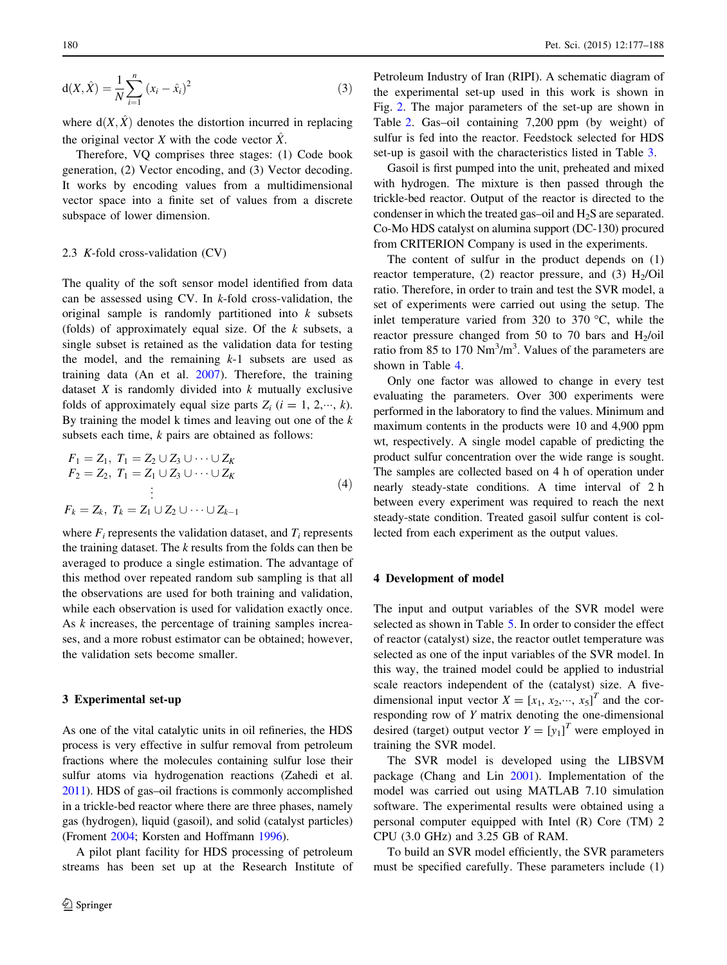$$
d(X, \hat{X}) = \frac{1}{N} \sum_{i=1}^{n} (x_i - \hat{x}_i)^2
$$
 (3)

where  $d(X, \hat{X})$  denotes the distortion incurred in replacing the original vector X with the code vector  $\hat{X}$ .

Therefore, VQ comprises three stages: (1) Code book generation, (2) Vector encoding, and (3) Vector decoding. It works by encoding values from a multidimensional vector space into a finite set of values from a discrete subspace of lower dimension.

#### 2.3 K-fold cross-validation (CV)

The quality of the soft sensor model identified from data can be assessed using CV. In  $k$ -fold cross-validation, the original sample is randomly partitioned into  $k$  subsets (folds) of approximately equal size. Of the  $k$  subsets, a single subset is retained as the validation data for testing the model, and the remaining  $k-1$  subsets are used as training data (An et al. [2007](#page-10-0)). Therefore, the training dataset  $X$  is randomly divided into  $k$  mutually exclusive folds of approximately equal size parts  $Z_i$   $(i = 1, 2, \dots, k)$ . By training the model  $k$  times and leaving out one of the  $k$ subsets each time,  $k$  pairs are obtained as follows:

$$
F_1 = Z_1, T_1 = Z_2 \cup Z_3 \cup \cdots \cup Z_K
$$
  
\n
$$
F_2 = Z_2, T_1 = Z_1 \cup Z_3 \cup \cdots \cup Z_K
$$
  
\n
$$
\vdots
$$
  
\n
$$
F_k = Z_k, T_k = Z_1 \cup Z_2 \cup \cdots \cup Z_{k-1}
$$
  
\n(4)

where  $F_i$  represents the validation dataset, and  $T_i$  represents the training dataset. The  $k$  results from the folds can then be averaged to produce a single estimation. The advantage of this method over repeated random sub sampling is that all the observations are used for both training and validation, while each observation is used for validation exactly once. As k increases, the percentage of training samples increases, and a more robust estimator can be obtained; however, the validation sets become smaller.

#### 3 Experimental set-up

As one of the vital catalytic units in oil refineries, the HDS process is very effective in sulfur removal from petroleum fractions where the molecules containing sulfur lose their sulfur atoms via hydrogenation reactions (Zahedi et al. [2011\)](#page-11-0). HDS of gas–oil fractions is commonly accomplished in a trickle-bed reactor where there are three phases, namely gas (hydrogen), liquid (gasoil), and solid (catalyst particles) (Froment [2004](#page-10-0); Korsten and Hoffmann [1996](#page-10-0)).

A pilot plant facility for HDS processing of petroleum streams has been set up at the Research Institute of

Petroleum Industry of Iran (RIPI). A schematic diagram of the experimental set-up used in this work is shown in Fig. [2](#page-4-0). The major parameters of the set-up are shown in Table [2](#page-4-0). Gas–oil containing 7,200 ppm (by weight) of sulfur is fed into the reactor. Feedstock selected for HDS set-up is gasoil with the characteristics listed in Table [3.](#page-4-0)

Gasoil is first pumped into the unit, preheated and mixed with hydrogen. The mixture is then passed through the trickle-bed reactor. Output of the reactor is directed to the condenser in which the treated gas-oil and  $H_2S$  are separated. Co-Mo HDS catalyst on alumina support (DC-130) procured from CRITERION Company is used in the experiments.

The content of sulfur in the product depends on (1) reactor temperature, (2) reactor pressure, and (3)  $H<sub>2</sub>/Oil$ ratio. Therefore, in order to train and test the SVR model, a set of experiments were carried out using the setup. The inlet temperature varied from 320 to 370  $\degree$ C, while the reactor pressure changed from 50 to 70 bars and  $H_2$ /oil ratio from 85 to 170  $Nm^3/m^3$ . Values of the parameters are shown in Table [4.](#page-5-0)

Only one factor was allowed to change in every test evaluating the parameters. Over 300 experiments were performed in the laboratory to find the values. Minimum and maximum contents in the products were 10 and 4,900 ppm wt, respectively. A single model capable of predicting the product sulfur concentration over the wide range is sought. The samples are collected based on 4 h of operation under nearly steady-state conditions. A time interval of 2 h between every experiment was required to reach the next steady-state condition. Treated gasoil sulfur content is collected from each experiment as the output values.

# 4 Development of model

The input and output variables of the SVR model were selected as shown in Table [5](#page-5-0). In order to consider the effect of reactor (catalyst) size, the reactor outlet temperature was selected as one of the input variables of the SVR model. In this way, the trained model could be applied to industrial scale reactors independent of the (catalyst) size. A fivedimensional input vector  $X = [x_1, x_2, \dots, x_5]^T$  and the corresponding row of Y matrix denoting the one-dimensional desired (target) output vector  $Y = [y_1]^T$  were employed in training the SVR model.

The SVR model is developed using the LIBSVM package (Chang and Lin [2001](#page-10-0)). Implementation of the model was carried out using MATLAB 7.10 simulation software. The experimental results were obtained using a personal computer equipped with Intel (R) Core (TM) 2 CPU (3.0 GHz) and 3.25 GB of RAM.

To build an SVR model efficiently, the SVR parameters must be specified carefully. These parameters include (1)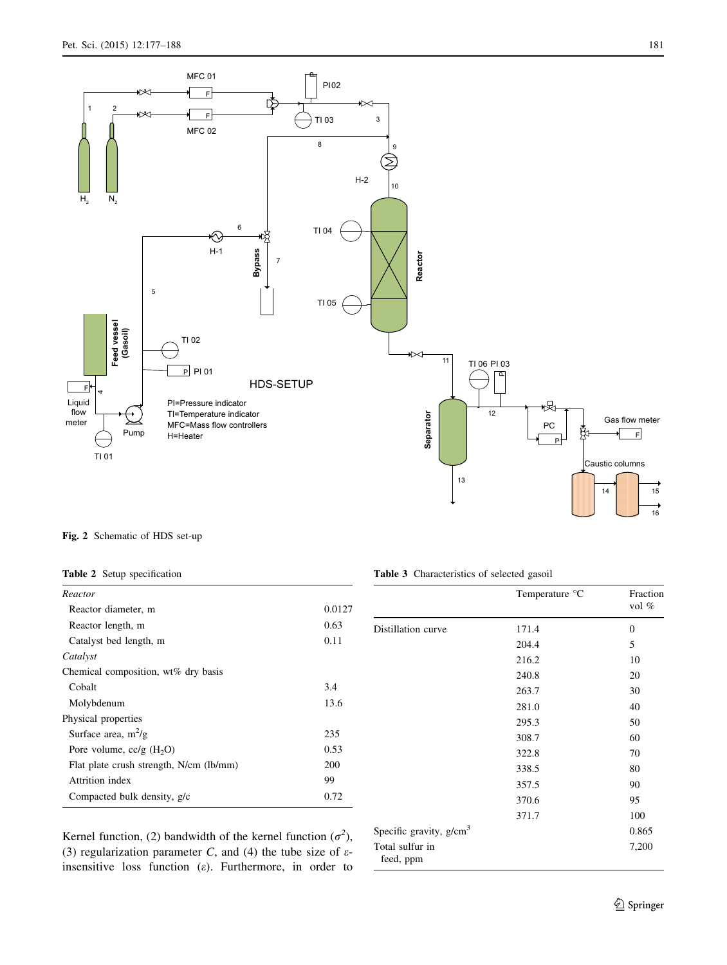<span id="page-4-0"></span>

Fig. 2 Schematic of HDS set-up

|  |  | <b>Table 2</b> Setup specification |
|--|--|------------------------------------|
|--|--|------------------------------------|

| Reactor                                 |        |
|-----------------------------------------|--------|
| Reactor diameter, m                     | 0.0127 |
| Reactor length, m                       | 0.63   |
| Catalyst bed length, m                  | 0.11   |
| Catalyst                                |        |
| Chemical composition, wt% dry basis     |        |
| Cobalt                                  | 3.4    |
| Molybdenum                              | 13.6   |
| Physical properties                     |        |
| Surface area, $m^2/g$                   | 235    |
| Pore volume, $cc/g$ (H <sub>2</sub> O)  | 0.53   |
| Flat plate crush strength, N/cm (lb/mm) | 200    |
| Attrition index                         | 99     |
| Compacted bulk density, g/c             | 0.72   |

Table 3 Characteristics of selected gasoil

|                              | Temperature °C | Fraction<br>vol $%$ |
|------------------------------|----------------|---------------------|
| Distillation curve           | 171.4          | $\overline{0}$      |
|                              | 204.4          | 5                   |
|                              | 216.2          | 10                  |
|                              | 240.8          | 20                  |
|                              | 263.7          | 30                  |
|                              | 281.0          | 40                  |
|                              | 295.3          | 50                  |
|                              | 308.7          | 60                  |
|                              | 322.8          | 70                  |
|                              | 338.5          | 80                  |
|                              | 357.5          | 90                  |
|                              | 370.6          | 95                  |
|                              | 371.7          | 100                 |
| Specific gravity, $g/cm3$    |                | 0.865               |
| Total sulfur in<br>feed, ppm |                | 7,200               |

Kernel function, (2) bandwidth of the kernel function  $(\sigma^2)$ , (3) regularization parameter C, and (4) the tube size of  $\varepsilon$ insensitive loss function  $(\varepsilon)$ . Furthermore, in order to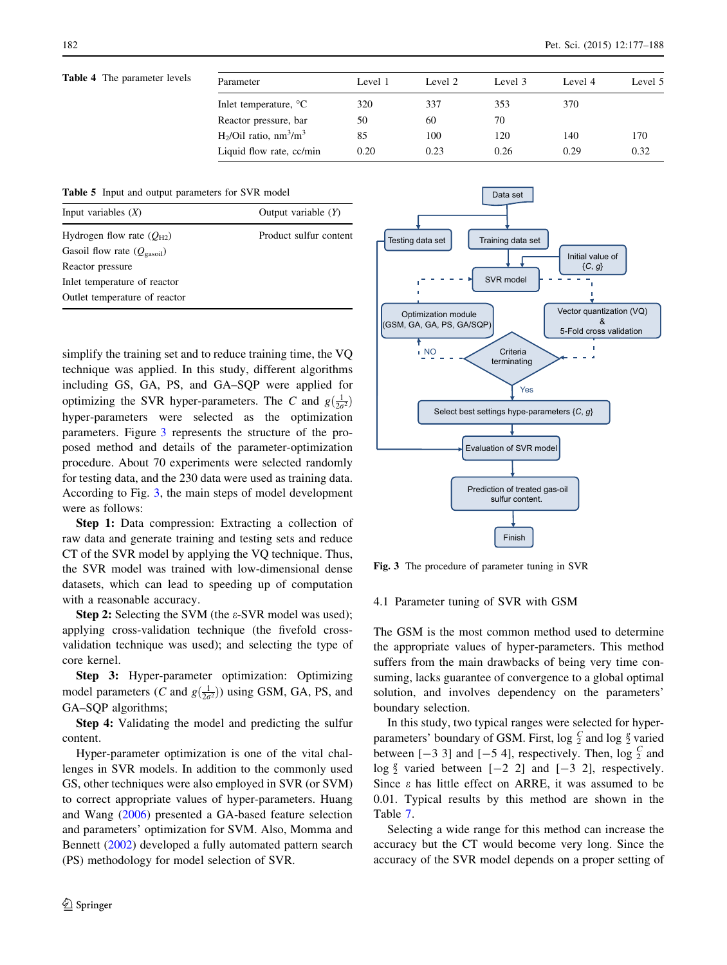# <span id="page-5-0"></span>Table 4 The parameter levels  $\overline{P}$

| Parameter                                         | Level 1 | Level 2 | Level 3 | Level 4 | Level 5 |
|---------------------------------------------------|---------|---------|---------|---------|---------|
| Inlet temperature, <sup>o</sup> C                 | 320     | 337     | 353     | 370     |         |
| Reactor pressure, bar                             | 50      | 60      | 70      |         |         |
| $H_2$ /Oil ratio, nm <sup>3</sup> /m <sup>3</sup> | 85      | 100     | 120     | 140     | 170     |
| Liquid flow rate, cc/min                          | 0.20    | 0.23    | 0.26    | 0.29    | 0.32    |
|                                                   |         |         |         |         |         |

Table 5 Input and output parameters for SVR model

| Input variables $(X)$                  | Output variable $(Y)$  |
|----------------------------------------|------------------------|
| Hydrogen flow rate $(Q_{H2})$          | Product sulfur content |
| Gasoil flow rate $(Q_{\text{gasoil}})$ |                        |
| Reactor pressure                       |                        |
| Inlet temperature of reactor           |                        |
| Outlet temperature of reactor          |                        |

simplify the training set and to reduce training time, the VQ technique was applied. In this study, different algorithms including GS, GA, PS, and GA–SQP were applied for optimizing the SVR hyper-parameters. The C and  $g(\frac{1}{2\sigma^2})$ hyper-parameters were selected as the optimization parameters. Figure 3 represents the structure of the proposed method and details of the parameter-optimization procedure. About 70 experiments were selected randomly for testing data, and the 230 data were used as training data. According to Fig. 3, the main steps of model development were as follows:

Step 1: Data compression: Extracting a collection of raw data and generate training and testing sets and reduce CT of the SVR model by applying the VQ technique. Thus, the SVR model was trained with low-dimensional dense datasets, which can lead to speeding up of computation with a reasonable accuracy.

Step 2: Selecting the SVM (the  $\varepsilon$ -SVR model was used); applying cross-validation technique (the fivefold crossvalidation technique was used); and selecting the type of core kernel.

Step 3: Hyper-parameter optimization: Optimizing model parameters (*C* and  $g(\frac{1}{2\sigma^2})$ ) using GSM, GA, PS, and GA–SQP algorithms;

Step 4: Validating the model and predicting the sulfur content.

Hyper-parameter optimization is one of the vital challenges in SVR models. In addition to the commonly used GS, other techniques were also employed in SVR (or SVM) to correct appropriate values of hyper-parameters. Huang and Wang [\(2006](#page-10-0)) presented a GA-based feature selection and parameters' optimization for SVM. Also, Momma and Bennett [\(2002](#page-10-0)) developed a fully automated pattern search (PS) methodology for model selection of SVR.



Fig. 3 The procedure of parameter tuning in SVR

## 4.1 Parameter tuning of SVR with GSM

The GSM is the most common method used to determine the appropriate values of hyper-parameters. This method suffers from the main drawbacks of being very time consuming, lacks guarantee of convergence to a global optimal solution, and involves dependency on the parameters' boundary selection.

In this study, two typical ranges were selected for hyperparameters' boundary of GSM. First,  $\log \frac{C}{2}$  and  $\log \frac{8}{2}$  varied between  $[-3 \ 3]$  and  $[-5 \ 4]$ , respectively. Then,  $\log \frac{C}{2}$  and log  $\frac{g}{2}$  varied between  $[-2 \ 2]$  and  $[-3 \ 2]$ , respectively. Since  $\varepsilon$  has little effect on ARRE, it was assumed to be 0.01. Typical results by this method are shown in the Table [7](#page-8-0).

Selecting a wide range for this method can increase the accuracy but the CT would become very long. Since the accuracy of the SVR model depends on a proper setting of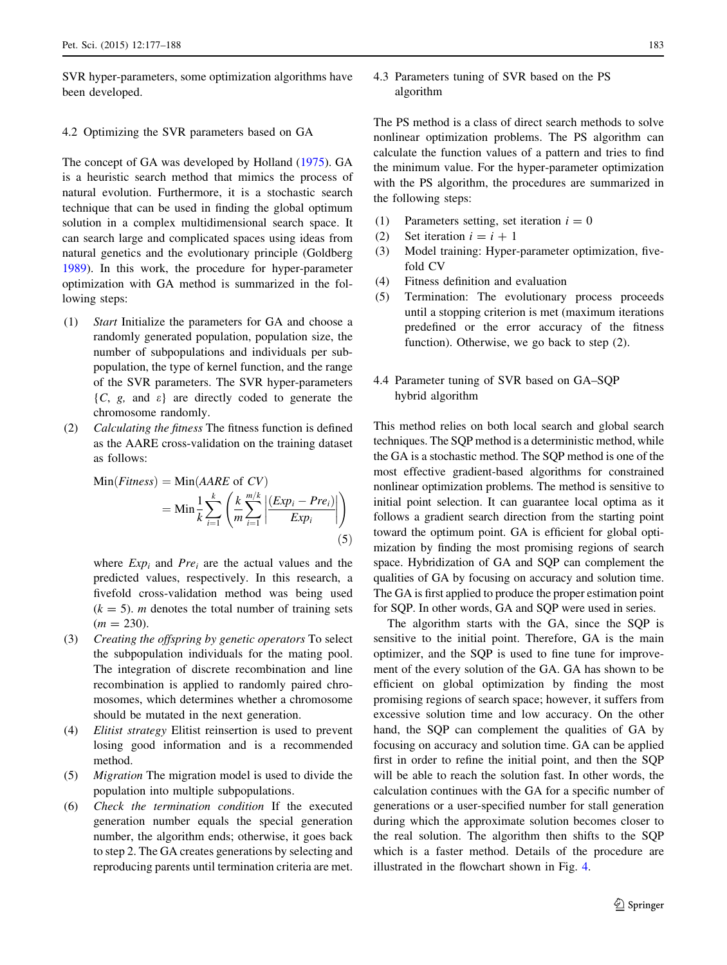<span id="page-6-0"></span>SVR hyper-parameters, some optimization algorithms have been developed.

# 4.2 Optimizing the SVR parameters based on GA

The concept of GA was developed by Holland [\(1975](#page-10-0)). GA is a heuristic search method that mimics the process of natural evolution. Furthermore, it is a stochastic search technique that can be used in finding the global optimum solution in a complex multidimensional search space. It can search large and complicated spaces using ideas from natural genetics and the evolutionary principle (Goldberg [1989\)](#page-10-0). In this work, the procedure for hyper-parameter optimization with GA method is summarized in the following steps:

- (1) Start Initialize the parameters for GA and choose a randomly generated population, population size, the number of subpopulations and individuals per subpopulation, the type of kernel function, and the range of the SVR parameters. The SVR hyper-parameters  $\{C, g, \text{ and } \varepsilon\}$  are directly coded to generate the chromosome randomly.
- (2) Calculating the fitness The fitness function is defined as the AARE cross-validation on the training dataset as follows:

Min(Fitness) = Min(AARE of CV)  
= Min 
$$
\frac{1}{k} \sum_{i=1}^{k} \left( \frac{k}{m} \sum_{i=1}^{m/k} \left| \frac{(Exp_i - Pre_i)}{Exp_i} \right| \right)
$$
 (5)

where  $Exp_i$  and  $Pre_i$  are the actual values and the predicted values, respectively. In this research, a fivefold cross-validation method was being used  $(k = 5)$ . *m* denotes the total number of training sets  $(m = 230).$ 

- (3) Creating the offspring by genetic operators To select the subpopulation individuals for the mating pool. The integration of discrete recombination and line recombination is applied to randomly paired chromosomes, which determines whether a chromosome should be mutated in the next generation.
- (4) Elitist strategy Elitist reinsertion is used to prevent losing good information and is a recommended method.
- (5) Migration The migration model is used to divide the population into multiple subpopulations.
- (6) Check the termination condition If the executed generation number equals the special generation number, the algorithm ends; otherwise, it goes back to step 2. The GA creates generations by selecting and reproducing parents until termination criteria are met.

4.3 Parameters tuning of SVR based on the PS algorithm

The PS method is a class of direct search methods to solve nonlinear optimization problems. The PS algorithm can calculate the function values of a pattern and tries to find the minimum value. For the hyper-parameter optimization with the PS algorithm, the procedures are summarized in the following steps:

- (1) Parameters setting, set iteration  $i = 0$
- (2) Set iteration  $i = i + 1$
- (3) Model training: Hyper-parameter optimization, fivefold CV
- (4) Fitness definition and evaluation
- (5) Termination: The evolutionary process proceeds until a stopping criterion is met (maximum iterations predefined or the error accuracy of the fitness function). Otherwise, we go back to step (2).
- 4.4 Parameter tuning of SVR based on GA–SQP hybrid algorithm

This method relies on both local search and global search techniques. The SQP method is a deterministic method, while the GA is a stochastic method. The SQP method is one of the most effective gradient-based algorithms for constrained nonlinear optimization problems. The method is sensitive to initial point selection. It can guarantee local optima as it follows a gradient search direction from the starting point toward the optimum point. GA is efficient for global optimization by finding the most promising regions of search space. Hybridization of GA and SQP can complement the qualities of GA by focusing on accuracy and solution time. The GA is first applied to produce the proper estimation point for SQP. In other words, GA and SQP were used in series.

The algorithm starts with the GA, since the SQP is sensitive to the initial point. Therefore, GA is the main optimizer, and the SQP is used to fine tune for improvement of the every solution of the GA. GA has shown to be efficient on global optimization by finding the most promising regions of search space; however, it suffers from excessive solution time and low accuracy. On the other hand, the SQP can complement the qualities of GA by focusing on accuracy and solution time. GA can be applied first in order to refine the initial point, and then the SQP will be able to reach the solution fast. In other words, the calculation continues with the GA for a specific number of generations or a user-specified number for stall generation during which the approximate solution becomes closer to the real solution. The algorithm then shifts to the SQP which is a faster method. Details of the procedure are illustrated in the flowchart shown in Fig. [4.](#page-7-0)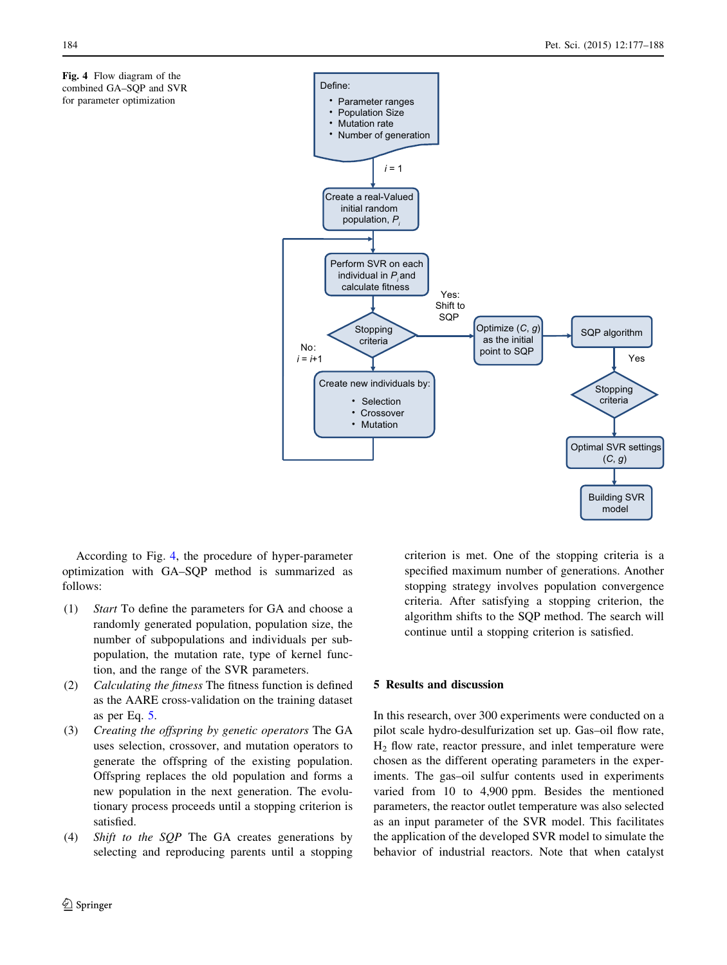<span id="page-7-0"></span>



According to Fig. 4, the procedure of hyper-parameter optimization with GA–SQP method is summarized as follows:

- (1) Start To define the parameters for GA and choose a randomly generated population, population size, the number of subpopulations and individuals per subpopulation, the mutation rate, type of kernel function, and the range of the SVR parameters.
- (2) Calculating the fitness The fitness function is defined as the AARE cross-validation on the training dataset as per Eq. [5](#page-6-0).
- (3) Creating the offspring by genetic operators The GA uses selection, crossover, and mutation operators to generate the offspring of the existing population. Offspring replaces the old population and forms a new population in the next generation. The evolutionary process proceeds until a stopping criterion is satisfied.
- (4) Shift to the SQP The GA creates generations by selecting and reproducing parents until a stopping

2 Springer

criterion is met. One of the stopping criteria is a specified maximum number of generations. Another stopping strategy involves population convergence criteria. After satisfying a stopping criterion, the algorithm shifts to the SQP method. The search will continue until a stopping criterion is satisfied.

# 5 Results and discussion

In this research, over 300 experiments were conducted on a pilot scale hydro-desulfurization set up. Gas–oil flow rate,  $H<sub>2</sub>$  flow rate, reactor pressure, and inlet temperature were chosen as the different operating parameters in the experiments. The gas–oil sulfur contents used in experiments varied from 10 to 4,900 ppm. Besides the mentioned parameters, the reactor outlet temperature was also selected as an input parameter of the SVR model. This facilitates the application of the developed SVR model to simulate the behavior of industrial reactors. Note that when catalyst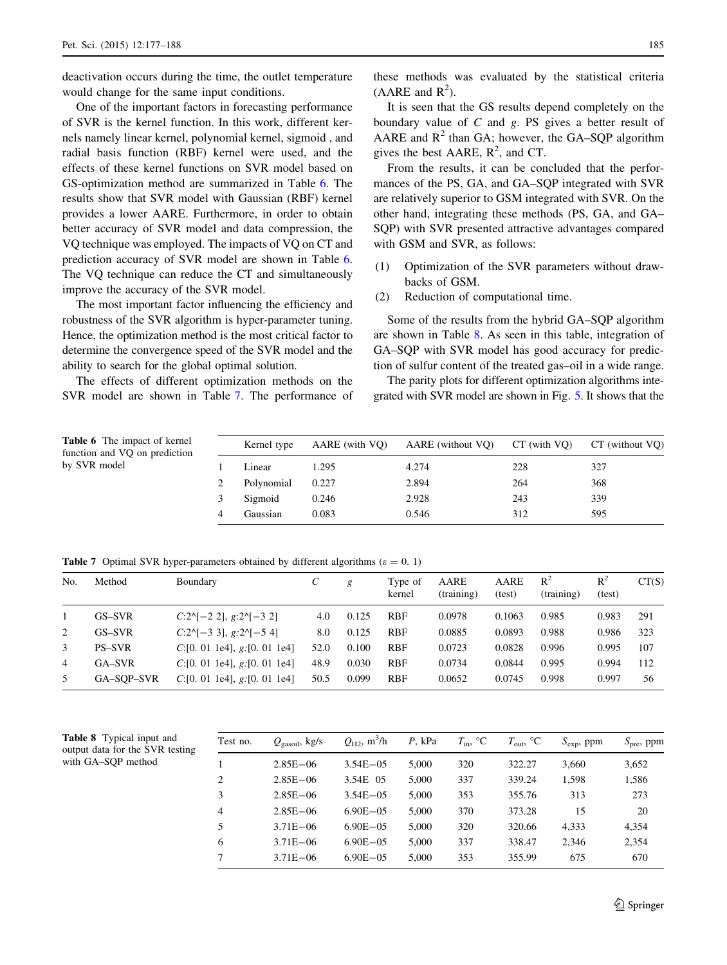<span id="page-8-0"></span>deactivation occurs during the time, the outlet temperature would change for the same input conditions.

One of the important factors in forecasting performance of SVR is the kernel function. In this work, different kernels namely linear kernel, polynomial kernel, sigmoid , and radial basis function (RBF) kernel were used, and the effects of these kernel functions on SVR model based on GS-optimization method are summarized in Table 6. The results show that SVR model with Gaussian (RBF) kernel provides a lower AARE. Furthermore, in order to obtain better accuracy of SVR model and data compression, the VQ technique was employed. The impacts of VQ on CT and prediction accuracy of SVR model are shown in Table 6. The VQ technique can reduce the CT and simultaneously improve the accuracy of the SVR model.

The most important factor influencing the efficiency and robustness of the SVR algorithm is hyper-parameter tuning. Hence, the optimization method is the most critical factor to determine the convergence speed of the SVR model and the ability to search for the global optimal solution.

The effects of different optimization methods on the SVR model are shown in Table 7. The performance of

It is seen that the GS results depend completely on the boundary value of C and g. PS gives a better result of AARE and  $R^2$  than GA; however, the GA–SOP algorithm gives the best AARE,  $R^2$ , and CT.

From the results, it can be concluded that the performances of the PS, GA, and GA–SQP integrated with SVR are relatively superior to GSM integrated with SVR. On the other hand, integrating these methods (PS, GA, and GA– SQP) with SVR presented attractive advantages compared with GSM and SVR, as follows:

- (1) Optimization of the SVR parameters without drawbacks of GSM.
- (2) Reduction of computational time.

Some of the results from the hybrid GA–SQP algorithm are shown in Table 8. As seen in this table, integration of GA–SQP with SVR model has good accuracy for prediction of sulfur content of the treated gas–oil in a wide range.

The parity plots for different optimization algorithms integrated with SVR model are shown in Fig. [5.](#page-9-0) It shows that the

| <b>Table 6</b> The impact of kernel<br>function and VQ on prediction | Kernel type | AARE (with VO) | AARE (without VQ) | $CT$ (with $VO$ ) | CT (without VO) |
|----------------------------------------------------------------------|-------------|----------------|-------------------|-------------------|-----------------|
| by SVR model                                                         | Linear      | 1.295          | 4.274             | 228               | 327             |
|                                                                      | Polynomial  | 0.227          | 2.894             | 264               | 368             |
|                                                                      | Sigmoid     | 0.246          | 2.928             | 243               | 339             |
|                                                                      | Gaussian    | 0.083          | 0.546             | 312               | 595             |

**Table 7** Optimal SVR hyper-parameters obtained by different algorithms ( $\varepsilon = 0.1$ )

| No. | Method        | Boundary                         | C    | g     | Type of<br>kernel | AARE<br>(training) | AARE<br>(test) | $R^2$<br>(training) | $R^2$<br>(test) | CT(S) |
|-----|---------------|----------------------------------|------|-------|-------------------|--------------------|----------------|---------------------|-----------------|-------|
|     | GS-SVR        | $C:2^{N}[-2, 2], g:2^{N}[-3, 2]$ | 4.0  | 0.125 | <b>RBF</b>        | 0.0978             | 0.1063         | 0.985               | 0.983           | 291   |
| 2   | GS-SVR        | $C:2^{N}[-3,3], g:2^{N}[-5,4]$   | 8.0  | 0.125 | <b>RBF</b>        | 0.0885             | 0.0893         | 0.988               | 0.986           | 323   |
| 3   | <b>PS-SVR</b> | C:[0. 01 1e4], g:[0. 01 1e4]     | 52.0 | 0.100 | <b>RBF</b>        | 0.0723             | 0.0828         | 0.996               | 0.995           | 107   |
| 4   | GA-SVR        | C:[0. 01 1e4], g:[0. 01 1e4]     | 48.9 | 0.030 | <b>RBF</b>        | 0.0734             | 0.0844         | 0.995               | 0.994           | 112   |
| .5  | GA-SOP-SVR    | $C$ :[0. 01 1e4], g:[0. 01 1e4]  | 50.5 | 0.099 | <b>RBF</b>        | 0.0652             | 0.0745         | 0.998               | 0.997           | 56    |

Table 8 Typical input and output data for the SVR testing with GA–SQP method

| Test no.       | $Q_{\text{gasoil}}$ , kg/s | $Q_{H2}$ , m <sup>3</sup> /h | $P$ , kPa | $T_{\rm in}$ , °C | $T_{\text{out}}$ , °C | $S_{\rm exp}$ , ppm | $S_{\text{pre}}$ , ppm |
|----------------|----------------------------|------------------------------|-----------|-------------------|-----------------------|---------------------|------------------------|
|                | $2.85E - 06$               | $3.54E - 05$                 | 5.000     | 320               | 322.27                | 3.660               | 3,652                  |
| $\overline{c}$ | $2.85E - 06$               | 3.54E 05                     | 5.000     | 337               | 339.24                | 1,598               | 1,586                  |
| 3              | $2.85E - 06$               | $3.54E - 05$                 | 5.000     | 353               | 355.76                | 313                 | 273                    |
| $\overline{4}$ | $2.85E - 06$               | $6.90E - 0.5$                | 5.000     | 370               | 373.28                | 15                  | 20                     |
| 5              | $3.71E - 06$               | $6.90E - 05$                 | 5.000     | 320               | 320.66                | 4.333               | 4,354                  |
| 6              | $3.71E - 06$               | $6.90E - 0.5$                | 5,000     | 337               | 338.47                | 2,346               | 2,354                  |
| 7              | $3.71E - 06$               | $6.90E - 0.5$                | 5.000     | 353               | 355.99                | 675                 | 670                    |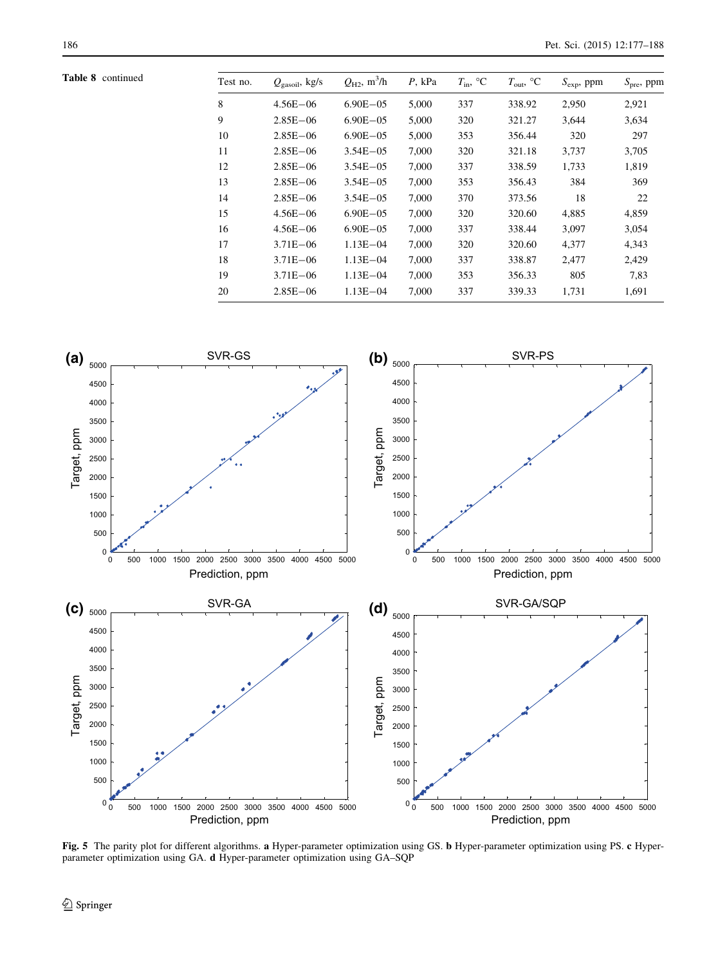<span id="page-9-0"></span>Table 8 continued

| Test no. | $Q_{\text{gasoil}}$ , kg/s | $Q_{H2}$ , m <sup>3</sup> /h | $P$ , kPa | $T_{\rm in}$ , °C | $T_{\text{out}}$ , °C | $S_{\rm exp}$ , ppm | $S_{pre}$ , ppm |
|----------|----------------------------|------------------------------|-----------|-------------------|-----------------------|---------------------|-----------------|
| 8        | $4.56E - 06$               | $6.90E - 05$                 | 5,000     | 337               | 338.92                | 2,950               | 2,921           |
| 9        | $2.85E - 06$               | $6.90E - 05$                 | 5,000     | 320               | 321.27                | 3,644               | 3,634           |
| 10       | $2.85E - 06$               | $6.90E - 05$                 | 5,000     | 353               | 356.44                | 320                 | 297             |
| 11       | $2.85E - 06$               | $3.54E - 05$                 | 7,000     | 320               | 321.18                | 3,737               | 3,705           |
| 12       | $2.85E - 06$               | $3.54E - 05$                 | 7,000     | 337               | 338.59                | 1,733               | 1,819           |
| 13       | $2.85E - 06$               | $3.54E - 05$                 | 7,000     | 353               | 356.43                | 384                 | 369             |
| 14       | $2.85E - 06$               | $3.54E - 05$                 | 7,000     | 370               | 373.56                | 18                  | 22              |
| 15       | $4.56E - 06$               | $6.90E - 05$                 | 7,000     | 320               | 320.60                | 4,885               | 4,859           |
| 16       | $4.56E - 06$               | $6.90E - 05$                 | 7,000     | 337               | 338.44                | 3,097               | 3,054           |
| 17       | $3.71E - 06$               | $1.13E - 04$                 | 7.000     | 320               | 320.60                | 4,377               | 4,343           |
| 18       | $3.71E - 06$               | $1.13E - 04$                 | 7,000     | 337               | 338.87                | 2,477               | 2,429           |
| 19       | $3.71E - 06$               | $1.13E - 04$                 | 7,000     | 353               | 356.33                | 805                 | 7,83            |
| 20       | $2.85E - 06$               | $1.13E - 04$                 | 7,000     | 337               | 339.33                | 1,731               | 1,691           |
|          |                            |                              |           |                   |                       |                     |                 |



Fig. 5 The parity plot for different algorithms. a Hyper-parameter optimization using GS. b Hyper-parameter optimization using PS. c Hyperparameter optimization using GA. d Hyper-parameter optimization using GA–SQP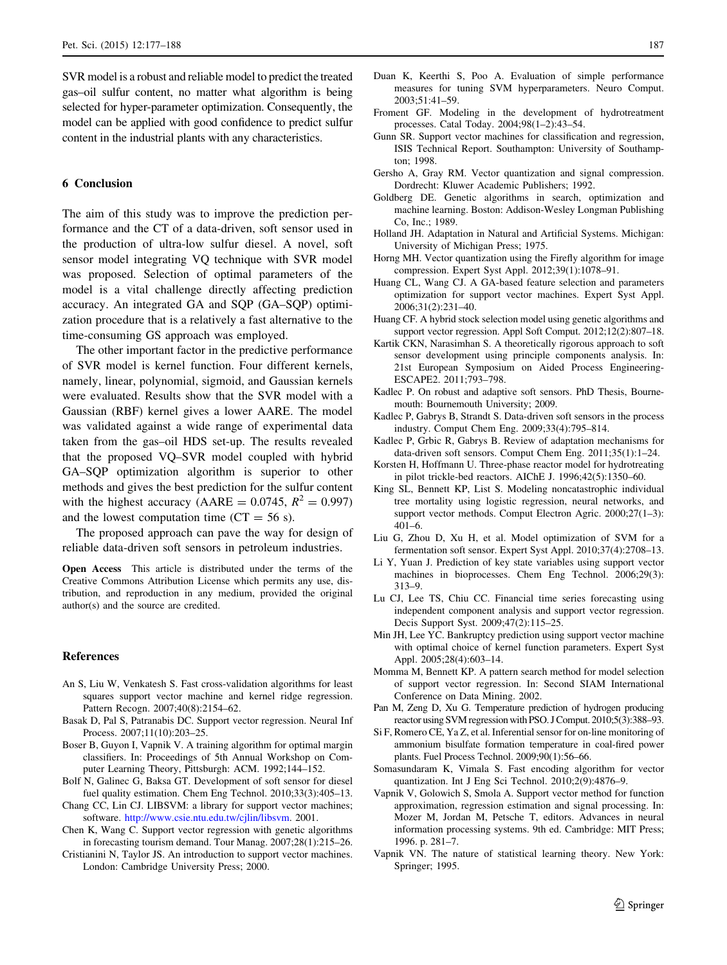<span id="page-10-0"></span>SVR model is a robust and reliable model to predict the treated gas–oil sulfur content, no matter what algorithm is being selected for hyper-parameter optimization. Consequently, the model can be applied with good confidence to predict sulfur content in the industrial plants with any characteristics.

# 6 Conclusion

The aim of this study was to improve the prediction performance and the CT of a data-driven, soft sensor used in the production of ultra-low sulfur diesel. A novel, soft sensor model integrating VQ technique with SVR model was proposed. Selection of optimal parameters of the model is a vital challenge directly affecting prediction accuracy. An integrated GA and SQP (GA–SQP) optimization procedure that is a relatively a fast alternative to the time-consuming GS approach was employed.

The other important factor in the predictive performance of SVR model is kernel function. Four different kernels, namely, linear, polynomial, sigmoid, and Gaussian kernels were evaluated. Results show that the SVR model with a Gaussian (RBF) kernel gives a lower AARE. The model was validated against a wide range of experimental data taken from the gas–oil HDS set-up. The results revealed that the proposed VQ–SVR model coupled with hybrid GA–SQP optimization algorithm is superior to other methods and gives the best prediction for the sulfur content with the highest accuracy (AARE =  $0.0745$ ,  $R^2 = 0.997$ ) and the lowest computation time  $(CT = 56 s)$ .

The proposed approach can pave the way for design of reliable data-driven soft sensors in petroleum industries.

Open Access This article is distributed under the terms of the Creative Commons Attribution License which permits any use, distribution, and reproduction in any medium, provided the original author(s) and the source are credited.

#### References

- An S, Liu W, Venkatesh S. Fast cross-validation algorithms for least squares support vector machine and kernel ridge regression. Pattern Recogn. 2007;40(8):2154–62.
- Basak D, Pal S, Patranabis DC. Support vector regression. Neural Inf Process. 2007;11(10):203–25.
- Boser B, Guyon I, Vapnik V. A training algorithm for optimal margin classifiers. In: Proceedings of 5th Annual Workshop on Computer Learning Theory, Pittsburgh: ACM. 1992;144–152.
- Bolf N, Galinec G, Baksa GT. Development of soft sensor for diesel fuel quality estimation. Chem Eng Technol. 2010;33(3):405–13.
- Chang CC, Lin CJ. LIBSVM: a library for support vector machines; software. <http://www.csie.ntu.edu.tw/cjlin/libsvm>. 2001.
- Chen K, Wang C. Support vector regression with genetic algorithms in forecasting tourism demand. Tour Manag. 2007;28(1):215–26.
- Cristianini N, Taylor JS. An introduction to support vector machines. London: Cambridge University Press; 2000.
- Duan K, Keerthi S, Poo A. Evaluation of simple performance measures for tuning SVM hyperparameters. Neuro Comput. 2003;51:41–59.
- Froment GF. Modeling in the development of hydrotreatment processes. Catal Today. 2004;98(1–2):43–54.
- Gunn SR. Support vector machines for classification and regression, ISIS Technical Report. Southampton: University of Southampton; 1998.
- Gersho A, Gray RM. Vector quantization and signal compression. Dordrecht: Kluwer Academic Publishers; 1992.
- Goldberg DE. Genetic algorithms in search, optimization and machine learning. Boston: Addison-Wesley Longman Publishing Co, Inc.; 1989.
- Holland JH. Adaptation in Natural and Artificial Systems. Michigan: University of Michigan Press; 1975.
- Horng MH. Vector quantization using the Firefly algorithm for image compression. Expert Syst Appl. 2012;39(1):1078–91.
- Huang CL, Wang CJ. A GA-based feature selection and parameters optimization for support vector machines. Expert Syst Appl. 2006;31(2):231–40.
- Huang CF. A hybrid stock selection model using genetic algorithms and support vector regression. Appl Soft Comput. 2012;12(2):807–18.
- Kartik CKN, Narasimhan S. A theoretically rigorous approach to soft sensor development using principle components analysis. In: 21st European Symposium on Aided Process Engineering-ESCAPE2. 2011;793–798.
- Kadlec P. On robust and adaptive soft sensors. PhD Thesis, Bournemouth: Bournemouth University; 2009.
- Kadlec P, Gabrys B, Strandt S. Data-driven soft sensors in the process industry. Comput Chem Eng. 2009;33(4):795–814.
- Kadlec P, Grbic R, Gabrys B. Review of adaptation mechanisms for data-driven soft sensors. Comput Chem Eng. 2011;35(1):1–24.
- Korsten H, Hoffmann U. Three-phase reactor model for hydrotreating in pilot trickle-bed reactors. AIChE J. 1996;42(5):1350–60.
- King SL, Bennett KP, List S. Modeling noncatastrophic individual tree mortality using logistic regression, neural networks, and support vector methods. Comput Electron Agric. 2000;27(1–3): 401–6.
- Liu G, Zhou D, Xu H, et al. Model optimization of SVM for a fermentation soft sensor. Expert Syst Appl. 2010;37(4):2708–13.
- Li Y, Yuan J. Prediction of key state variables using support vector machines in bioprocesses. Chem Eng Technol. 2006;29(3): 313–9.
- Lu CJ, Lee TS, Chiu CC. Financial time series forecasting using independent component analysis and support vector regression. Decis Support Syst. 2009;47(2):115–25.
- Min JH, Lee YC. Bankruptcy prediction using support vector machine with optimal choice of kernel function parameters. Expert Syst Appl. 2005;28(4):603–14.
- Momma M, Bennett KP. A pattern search method for model selection of support vector regression. In: Second SIAM International Conference on Data Mining. 2002.
- Pan M, Zeng D, Xu G. Temperature prediction of hydrogen producing reactor using SVM regression with PSO. J Comput. 2010;5(3):388–93.
- Si F, Romero CE, Ya Z, et al. Inferential sensor for on-line monitoring of ammonium bisulfate formation temperature in coal-fired power plants. Fuel Process Technol. 2009;90(1):56–66.
- Somasundaram K, Vimala S. Fast encoding algorithm for vector quantization. Int J Eng Sci Technol. 2010;2(9):4876–9.
- Vapnik V, Golowich S, Smola A. Support vector method for function approximation, regression estimation and signal processing. In: Mozer M, Jordan M, Petsche T, editors. Advances in neural information processing systems. 9th ed. Cambridge: MIT Press; 1996. p. 281–7.
- Vapnik VN. The nature of statistical learning theory. New York: Springer; 1995.